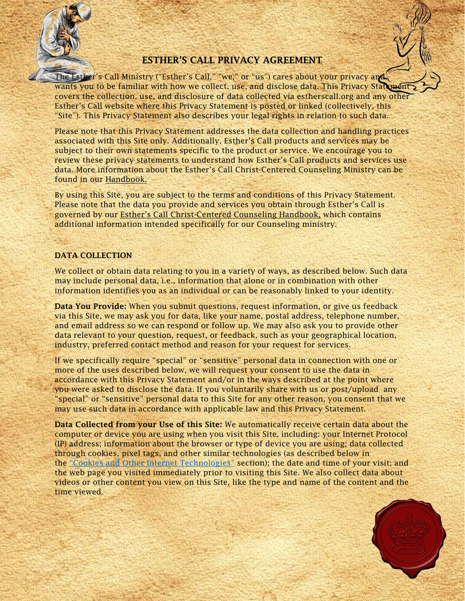

# ESTHER'S CALL PRIVACY AGREEMENT

The Esther's Call Ministry ("Esther's Call," "we," or "us") cares about your privacy and wants you to be familiar with how we collect, use, and disclose data. This Privacy Statement covers the collection, use, and disclosure of data collected via estherscall.org and any other Esther's Call website where this Privacy Statement is posted or linked (collectively, this "Site"). This Privacy Statement also describes your legal rights in relation to such data.

Please note that this Privacy Statement addresses the data collection and handling practices associated with this Site only. Additionally, Esther's Call products and services may be subject to their own statements specific to the product or service. We encourage you to review these privacy statements to understand how Esther's Call products and services use data. More information about the Esther's Call Christ-Centered Counseling Ministry can be found in our Handbook.

By using this Site, you are subject to the terms and conditions of this Privacy Statement. Please note that the data you provide and services you obtain through Esther's Call is governed by our Esther's Call Christ-Centered Counseling Handbook, which contains additional information intended specifically for our Counseling ministry.

# DATA COLLECTION

We collect or obtain data relating to you in a variety of ways, as described below. Such data may include personal data, i.e., information that alone or in combination with other information identifies you as an individual or can be reasonably linked to your identity.

Data You Provide: When you submit questions, request information, or give us feedback via this Site, we may ask you for data, like your name, postal address, telephone number, and email address so we can respond or follow up. We may also ask you to provide other data relevant to your question, request, or feedback, such as your geographical location, industry, preferred contact method and reason for your request for services.

If we specifically require "special" or "sensitive" personal data in connection with one or more of the uses described below, we will request your consent to use the data in accordance with this Privacy Statement and/or in the ways described at the point where you were asked to disclose the data. If you voluntarily share with us or post/upload any "special" or "sensitive" personal data to this Site for any other reason, you consent that we may use such data in accordance with applicable law and this Privacy Statement.

Data Collected from your Use of this Site: We automatically receive certain data about the computer or device you are using when you visit this Site, including: your Internet Protocol (IP) address; information about the browser or type of device you are using; data collected through cookies, pixel tags, and other similar technologies (as described below in the ["Cookies and Other Internet Technologies"](https://docs.google.com/document/d/1joX7KDa2wS6FWPVPr34lLFOUV7jtzZUPgYuXd4M6eTM/edit#bookmark=id.a68agn30ff80) section); the date and time of your visit; and the web page you visited immediately prior to visiting this Site. We also collect data about videos or other content you view on this Site, like the type and name of the content and the time viewed.

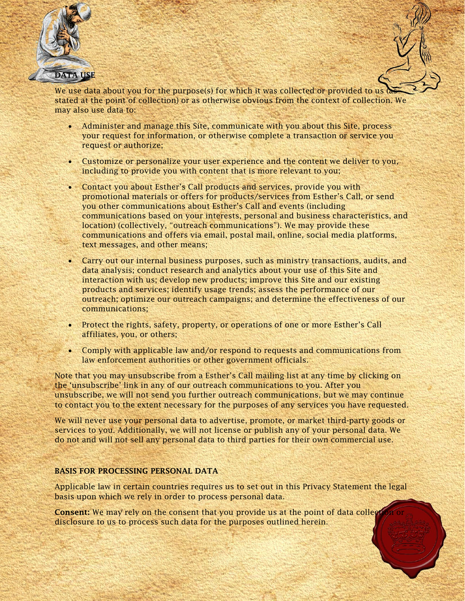

We use data about you for the purpose(s) for which it was collected or provided to  $us$ stated at the point of collection) or as otherwise obvious from the context of collection. We may also use data to:

- Administer and manage this Site, communicate with you about this Site, process your request for information, or otherwise complete a transaction or service you request or authorize;
- Customize or personalize your user experience and the content we deliver to you, including to provide you with content that is more relevant to you;
- Contact you about Esther's Call products and services, provide you with promotional materials or offers for products/services from Esther's Call, or send you other communications about Esther's Call and events (including communications based on your interests, personal and business characteristics, and location) (collectively, "outreach communications"). We may provide these communications and offers via email, postal mail, online, social media platforms, text messages, and other means;
- Carry out our internal business purposes, such as ministry transactions, audits, and data analysis; conduct research and analytics about your use of this Site and interaction with us; develop new products; improve this Site and our existing products and services; identify usage trends; assess the performance of our outreach; optimize our outreach campaigns; and determine the effectiveness of our communications;
- Protect the rights, safety, property, or operations of one or more Esther's Call affiliates, you, or others;
- Comply with applicable law and/or respond to requests and communications from law enforcement authorities or other government officials.

Note that you may unsubscribe from a Esther's Call mailing list at any time by clicking on the 'unsubscribe' link in any of our outreach communications to you. After you unsubscribe, we will not send you further outreach communications, but we may continue to contact you to the extent necessary for the purposes of any services you have requested.

We will never use your personal data to advertise, promote, or market third-party goods or services to you. Additionally, we will not license or publish any of your personal data. We do not and will not sell any personal data to third parties for their own commercial use.

# BASIS FOR PROCESSING PERSONAL DATA

Applicable law in certain countries requires us to set out in this Privacy Statement the legal basis upon which we rely in order to process personal data.

Consent: We may rely on the consent that you provide us at the point of data collection disclosure to us to process such data for the purposes outlined herein.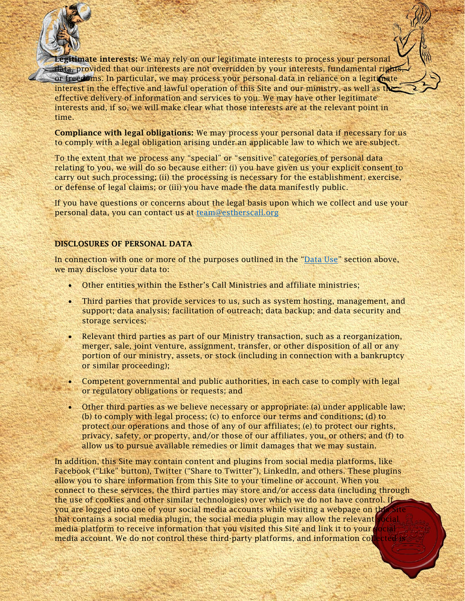**Itimate interests:** We may rely on our legitimate interests to process your personal data, provided that our interests are not overridden by your interests, fundamental rights, or freedoms. In particular, we may process your personal data in reliance on a legitimate interest in the effective and lawful operation of this Site and our ministry, as well as the effective delivery of information and services to you. We may have other legitimate interests and, if so, we will make clear what those interests are at the relevant point in time.

Compliance with legal obligations: We may process your personal data if necessary for us to comply with a legal obligation arising under an applicable law to which we are subject.

To the extent that we process any "special" or "sensitive" categories of personal data relating to you, we will do so because either: (i) you have given us your explicit consent to carry out such processing; (ii) the processing is necessary for the establishment, exercise, or defense of legal claims; or (iii) you have made the data manifestly public.

If you have questions or concerns about the legal basis upon which we collect and use your personal data, you can contact us at [team@estherscall.org](mailto:team@estherscall.org)

### DISCLOSURES OF PERSONAL DATA

In connection with one or more of the purposes outlined in the ["Data Use"](https://docs.google.com/document/d/1joX7KDa2wS6FWPVPr34lLFOUV7jtzZUPgYuXd4M6eTM/edit#bookmark=id.ys8bxbjx3l3j) section above, we may disclose your data to:

- Other entities within the Esther's Call Ministries and affiliate ministries;
- Third parties that provide services to us, such as system hosting, management, and support; data analysis; facilitation of outreach; data backup; and data security and storage services;
- Relevant third parties as part of our Ministry transaction, such as a reorganization, merger, sale, joint venture, assignment, transfer, or other disposition of all or any portion of our ministry, assets, or stock (including in connection with a bankruptcy or similar proceeding);
- Competent governmental and public authorities, in each case to comply with legal or regulatory obligations or requests; and
- Other third parties as we believe necessary or appropriate: (a) under applicable law; (b) to comply with legal process; (c) to enforce our terms and conditions; (d) to protect our operations and those of any of our affiliates; (e) to protect our rights, privacy, safety, or property, and/or those of our affiliates, you, or others; and (f) to allow us to pursue available remedies or limit damages that we may sustain.

In addition, this Site may contain content and plugins from social media platforms, like Facebook ("Like" button), Twitter ("Share to Twitter"), LinkedIn, and others. These plugins allow you to share information from this Site to your timeline or account. When you connect to these services, the third parties may store and/or access data (including through the use of cookies and other similar technologies) over which we do not have control. If you are logged into one of your social media accounts while visiting a webpage on this Site that contains a social media plugin, the social media plugin may allow the relevant  $s\varphi$ cial media platform to receive information that you visited this Site and link it to your  $\zeta_0$  cial media account. We do not control these third-party platforms, and information collected is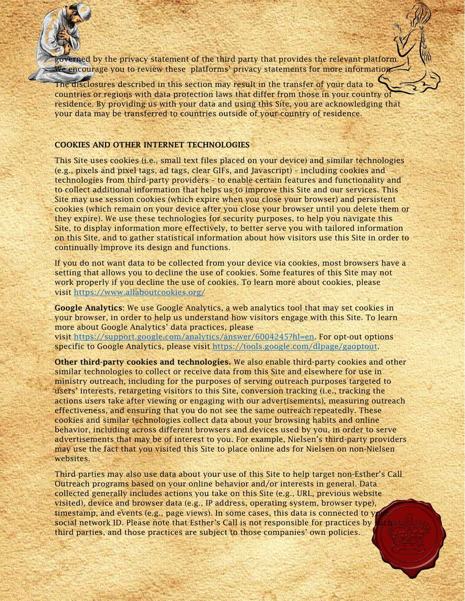overned by the privacy statement of the third party that provides the relevant platform. We encourage you to review these platforms' privacy statements for more information.

The disclosures described in this section may result in the transfer of your data to countries or regions with data protection laws that differ from those in your country of residence. By providing us with your data and using this Site, you are acknowledging that your data may be transferred to countries outside of your country of residence.

#### COOKIES AND OTHER INTERNET TECHNOLOGIES

This Site uses cookies (i.e., small text files placed on your device) and similar technologies (e.g., pixels and pixel tags, ad tags, clear GIFs, and Javascript) – including cookies and technologies from third-party providers – to enable certain features and functionality and to collect additional information that helps us to improve this Site and our services. This Site may use session cookies (which expire when you close your browser) and persistent cookies (which remain on your device after you close your browser until you delete them or they expire). We use these technologies for security purposes, to help you navigate this Site, to display information more effectively, to better serve you with tailored information on this Site, and to gather statistical information about how visitors use this Site in order to continually improve its design and functions.

If you do not want data to be collected from your device via cookies, most browsers have a setting that allows you to decline the use of cookies. Some features of this Site may not work properly if you decline the use of cookies. To learn more about cookies, please visit <https://www.allaboutcookies.org/>

Google Analytics: We use Google Analytics, a web analytics tool that may set cookies in your browser, in order to help us understand how visitors engage with this Site. To learn more about Google Analytics' data practices, please visit [https://support.google.com/analytics/answer/6004245?hl=en.](https://support.google.com/analytics/answer/6004245?hl=en) For opt-out options

specific to Google Analytics, please visit [https://tools.google.com/dlpage/gaoptout.](https://tools.google.com/dlpage/gaoptout)

Other third-party cookies and technologies. We also enable third-party cookies and other similar technologies to collect or receive data from this Site and elsewhere for use in ministry outreach, including for the purposes of serving outreach purposes targeted to users' interests, retargeting visitors to this Site, conversion tracking (i.e., tracking the actions users take after viewing or engaging with our advertisements), measuring outreach effectiveness, and ensuring that you do not see the same outreach repeatedly. These cookies and similar technologies collect data about your browsing habits and online behavior, including across different browsers and devices used by you, in order to serve advertisements that may be of interest to you. For example, Nielsen's third-party providers may use the fact that you visited this Site to place online ads for Nielsen on non-Nielsen websites.

Third parties may also use data about your use of this Site to help target non-Esther's Call Outreach programs based on your online behavior and/or interests in general. Data collected generally includes actions you take on this Site (e.g., URL, previous website visited), device and browser data (e.g., IP address, operating system, browser type), timestamp, and events (e.g., page views). In some cases, this data is connected to  $y$ social network ID. Please note that Esther's Call is not responsible for practices by  $\frac{1}{2}$ third parties, and those practices are subject to those companies' own policies.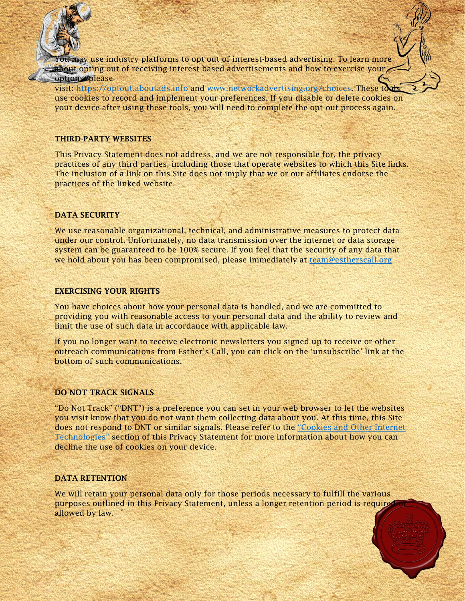**May use industry platforms to opt out of interest-based advertising. To learn more** about opting out of receiving interest-based advertisements and how to exercise your options please

visit: [https://optout.aboutads.info](https://optout.aboutads.info/) and [www.networkadvertising.org/choices.](https://www.networkadvertising.org/choices) These tools use cookies to record and implement your preferences. If you disable or delete cookies on your device after using these tools, you will need to complete the opt-out process again.

#### THIRD-PARTY WEBSITES

This Privacy Statement does not address, and we are not responsible for, the privacy practices of any third parties, including those that operate websites to which this Site links. The inclusion of a link on this Site does not imply that we or our affiliates endorse the practices of the linked website.

## DATA SECURITY

We use reasonable organizational, technical, and administrative measures to protect data under our control. Unfortunately, no data transmission over the internet or data storage system can be guaranteed to be 100% secure. If you feel that the security of any data that we hold about you has been compromised, please immediately at [team@estherscall.org](mailto:team@estherscall.org)

### EXERCISING YOUR RIGHTS

You have choices about how your personal data is handled, and we are committed to providing you with reasonable access to your personal data and the ability to review and limit the use of such data in accordance with applicable law.

If you no longer want to receive electronic newsletters you signed up to receive or other outreach communications from Esther's Call, you can click on the 'unsubscribe' link at the bottom of such communications.

## DO NOT TRACK SIGNALS

"Do Not Track" ("DNT") is a preference you can set in your web browser to let the websites you visit know that you do not want them collecting data about you. At this time, this Site does not respond to DNT or similar signals. Please refer to the ["Cookies and Other Internet](https://docs.google.com/document/d/1joX7KDa2wS6FWPVPr34lLFOUV7jtzZUPgYuXd4M6eTM/edit#bookmark=id.a68agn30ff80)  [Technologies"](https://docs.google.com/document/d/1joX7KDa2wS6FWPVPr34lLFOUV7jtzZUPgYuXd4M6eTM/edit#bookmark=id.a68agn30ff80) section of this Privacy Statement for more information about how you can decline the use of cookies on your device.

## DATA RETENTION

We will retain your personal data only for those periods necessary to fulfill the various purposes outlined in this Privacy Statement, unless a longer retention period is required allowed by law.